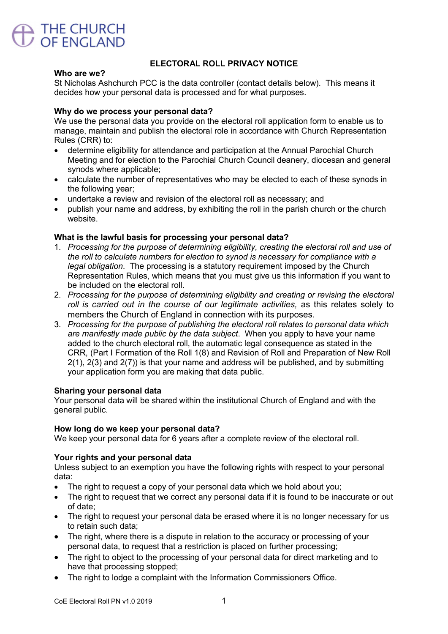

# ELECTORAL ROLL PRIVACY NOTICE

#### Who are we?

St Nicholas Ashchurch PCC is the data controller (contact details below). This means it decides how your personal data is processed and for what purposes.

## Why do we process your personal data?

We use the personal data you provide on the electoral roll application form to enable us to manage, maintain and publish the electoral role in accordance with Church Representation Rules (CRR) to:

- determine eligibility for attendance and participation at the Annual Parochial Church Meeting and for election to the Parochial Church Council deanery, diocesan and general synods where applicable;
- calculate the number of representatives who may be elected to each of these synods in the following year;
- undertake a review and revision of the electoral roll as necessary; and
- publish your name and address, by exhibiting the roll in the parish church or the church website.

### What is the lawful basis for processing your personal data?

- 1. *Processing for the purpose of determining eligibility, creating the electoral roll and use of the roll to calculate numbers for election to synod is necessary for compliance with a legal obligation*. The processing is a statutory requirement imposed by the Church Representation Rules, which means that you must give us this information if you want to be included on the electoral roll.
- 2. *Processing for the purpose of determining eligibility and creating or revising the electoral roll is carried out in the course of our legitimate activities,* as this relates solely to members the Church of England in connection with its purposes.
- 3. *Processing for the purpose of publishing the electoral roll relates to personal data which are manifestly made public by the data subject*. When you apply to have your name added to the church electoral roll, the automatic legal consequence as stated in the CRR, (Part I Formation of the Roll 1(8) and Revision of Roll and Preparation of New Roll 2(1), 2(3) and 2(7)) is that your name and address will be published, and by submitting your application form you are making that data public.

#### Sharing your personal data

Your personal data will be shared within the institutional Church of England and with the aeneral public.

#### How long do we keep your personal data?

We keep your personal data for 6 years after a complete review of the electoral roll.

#### Your rights and your personal data

Unless subject to an exemption you have the following rights with respect to your personal data:

- The right to request a copy of your personal data which we hold about you;
- The right to request that we correct any personal data if it is found to be inaccurate or out of date;
- The right to request your personal data be erased where it is no longer necessary for us to retain such data;
- The right, where there is a dispute in relation to the accuracy or processing of your personal data, to request that a restriction is placed on further processing;
- The right to object to the processing of your personal data for direct marketing and to have that processing stopped;
- The right to lodge a complaint with the Information Commissioners Office.